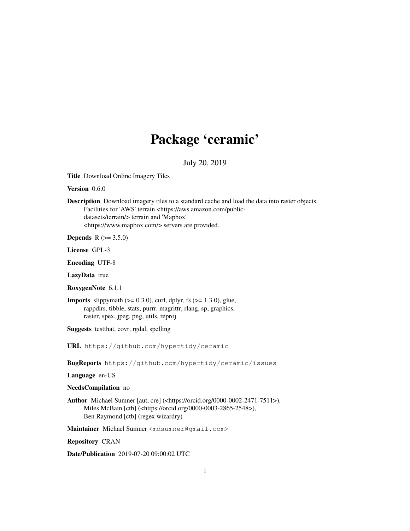# Package 'ceramic'

July 20, 2019

Title Download Online Imagery Tiles

Version 0.6.0

Description Download imagery tiles to a standard cache and load the data into raster objects. Facilities for 'AWS' terrain <https://aws.amazon.com/publicdatasets/terrain/> terrain and 'Mapbox' <https://www.mapbox.com/> servers are provided.

**Depends** R  $(>= 3.5.0)$ 

License GPL-3

Encoding UTF-8

LazyData true

RoxygenNote 6.1.1

**Imports** slippymath  $(>= 0.3.0)$ , curl, dplyr, fs  $(>= 1.3.0)$ , glue, rappdirs, tibble, stats, purrr, magrittr, rlang, sp, graphics, raster, spex, jpeg, png, utils, reproj

Suggests testthat, covr, rgdal, spelling

URL https://github.com/hypertidy/ceramic

BugReports https://github.com/hypertidy/ceramic/issues

Language en-US

NeedsCompilation no

Author Michael Sumner [aut, cre] (<https://orcid.org/0000-0002-2471-7511>), Miles McBain [ctb] (<https://orcid.org/0000-0003-2865-2548>), Ben Raymond [ctb] (regex wizardry)

Maintainer Michael Sumner <mdsumner@gmail.com>

Repository CRAN

Date/Publication 2019-07-20 09:00:02 UTC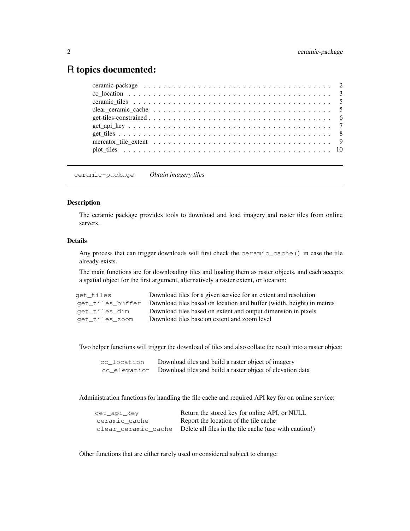# R topics documented:

ceramic-package *Obtain imagery tiles*

## Description

The ceramic package provides tools to download and load imagery and raster tiles from online servers.

## Details

Any process that can trigger downloads will first check the ceramic\_cache() in case the tile already exists.

The main functions are for downloading tiles and loading them as raster objects, and each accepts a spatial object for the first argument, alternatively a raster extent, or location:

| get tiles      | Download tiles for a given service for an extent and resolution                        |
|----------------|----------------------------------------------------------------------------------------|
|                | get_tiles_buffer Download tiles based on location and buffer (width, height) in metres |
| get tiles dim  | Download tiles based on extent and output dimension in pixels                          |
| get tiles zoom | Download tiles base on extent and zoom level                                           |

Two helper functions will trigger the download of tiles and also collate the result into a raster object:

| cc location | Download tiles and build a raster object of imagery                     |
|-------------|-------------------------------------------------------------------------|
|             | cc_elevation Download tiles and build a raster object of elevation data |

Administration functions for handling the file cache and required API key for on online service:

| qet_api_key   | Return the stored key for online API, or NULL                              |
|---------------|----------------------------------------------------------------------------|
| ceramic cache | Report the location of the tile cache                                      |
|               | clear_ceramic_cache Delete all files in the tile cache (use with caution!) |

Other functions that are either rarely used or considered subject to change: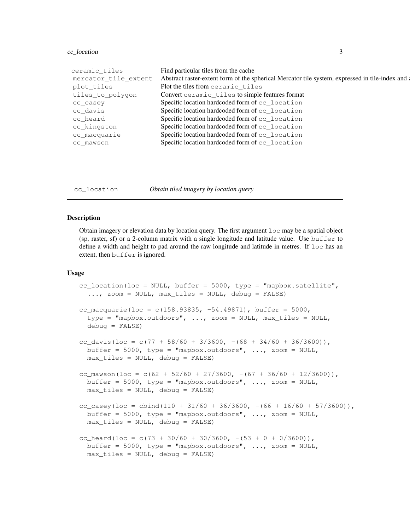## cc\_location 3

| ceramic_tiles        | Find particular tiles from the cache                                                             |
|----------------------|--------------------------------------------------------------------------------------------------|
| mercator_tile_extent | Abstract raster-extent form of the spherical Mercator tile system, expressed in tile-index and a |
| plot_tiles           | Plot the tiles from ceramic_tiles                                                                |
| tiles_to_polygon     | Convert ceramic_tiles to simple features format                                                  |
| cc casey             | Specific location hardcoded form of cc_location                                                  |
| cc davis             | Specific location hardcoded form of cc_location                                                  |
| cc heard             | Specific location hardcoded form of cc_location                                                  |
| cc_kingston          | Specific location hardcoded form of cc_location                                                  |
| cc_macquarie         | Specific location hardcoded form of cc_location                                                  |
| cc mawson            | Specific location hardcoded form of cc_location                                                  |
|                      |                                                                                                  |

cc\_location *Obtain tiled imagery by location query*

#### Description

Obtain imagery or elevation data by location query. The first argument loc may be a spatial object (sp, raster, sf) or a 2-column matrix with a single longitude and latitude value. Use buffer to define a width and height to pad around the raw longitude and latitude in metres. If loc has an extent, then buffer is ignored.

#### Usage

```
cc_location(loc = NULL, buffer = 5000, type = "mapbox.satellite",
  \ldots, zoom = NULL, max_tiles = NULL, debug = FALSE)
cc_macquarie(loc = c(158.93835, -54.49871), buffer = 5000,
  type = "mapbox.outdoors", \ldots, zoom = NULL, max_tiles = NULL,
  debug = FALSE)
cc_davis(loc = c(77 + 58/60 + 3/3600, -(68 + 34/60 + 36/3600)),
 buffer = 5000, type = "mapbox.outdoors", ..., zoom = NULL,
 max_tiles = NULL, debug = FALSE)
cc_mawson(loc = c(62 + 52/60 + 27/3600, -(67 + 36/60 + 12/3600)),
 buffer = 5000, type = "mapbox.outdoors", ..., zoom = NULL,
 max_tiles = NULL, debug = FALSE)
cc_casey(loc = cbind(110 + 31/60 + 36/3600, -(66 + 16/60 + 57/3600)),
 buffer = 5000, type = "mapbox.outdoors", ..., zoom = NULL,
 max\_tiles = NULL, debug = FALSE)
cc_heard(loc = c(73 + 30/60 + 30/3600, -(53 + 0 + 0/3600)),
 buffer = 5000, type = "mapbox.outdoors", ..., zoom = NULL,
 max_tiles = NULL, debug = FALSE)
```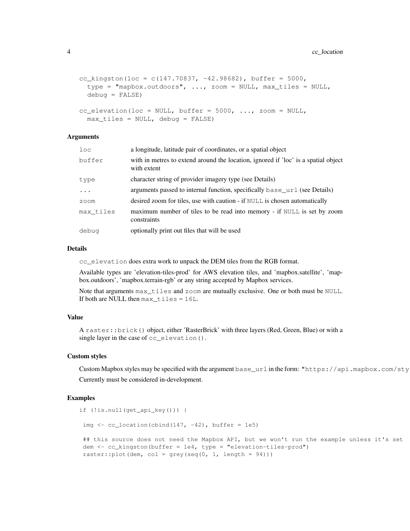```
cc_kingston(loc = c(147.70837, -42.98682), buffer = 5000,
  type = \texttt{mnapbox.outdoors}, \dots, \texttt{zoom} = \texttt{NULL}, \texttt{max\_tiles} = \texttt{NULL},debug = FALSE)cc_elevation(loc = NULL, buffer = 5000, ..., zoom = NULL,
```
 $max$  tiles = NULL, debug = FALSE)

```
Arguments
```

| loc       | a longitude, latitude pair of coordinates, or a spatial object                                    |
|-----------|---------------------------------------------------------------------------------------------------|
| buffer    | with in metres to extend around the location, ignored if 'loc' is a spatial object<br>with extent |
| type      | character string of provider imagery type (see Details)                                           |
| $\ddots$  | arguments passed to internal function, specifically base_url (see Details)                        |
| zoom      | desired zoom for tiles, use with caution - if NULL is chosen automatically                        |
| max tiles | maximum number of tiles to be read into memory - if NULL is set by zoom<br>constraints            |
| debug     | optionally print out files that will be used                                                      |

#### Details

cc\_elevation does extra work to unpack the DEM tiles from the RGB format.

Available types are 'elevation-tiles-prod' for AWS elevation tiles, and 'mapbox.satellite', 'mapbox.outdoors', 'mapbox.terrain-rgb' or any string accepted by Mapbox services.

Note that arguments max\_tiles and zoom are mutually exclusive. One or both must be NULL. If both are NULL then max\_tiles = 16L.

## Value

A raster::brick() object, either 'RasterBrick' with three layers (Red, Green, Blue) or with a single layer in the case of cc\_elevation().

#### Custom styles

Custom Mapbox styles may be specified with the argument base\_url in the form: "https://api.mapbox.com/sty Currently must be considered in-development.

```
if (!is.null(get_api_key())) {
img \leftarrow cc_location(cbind(147, -42), buffer = 1e5)
 ## this source does not need the Mapbox API, but we won't run the example unless it's set
dem \leq cc_kingston(buffer = 1e4, type = "elevation-tiles-prod")
raster:: plot (dem, col = grey(seq(0, 1, length = 94)))
```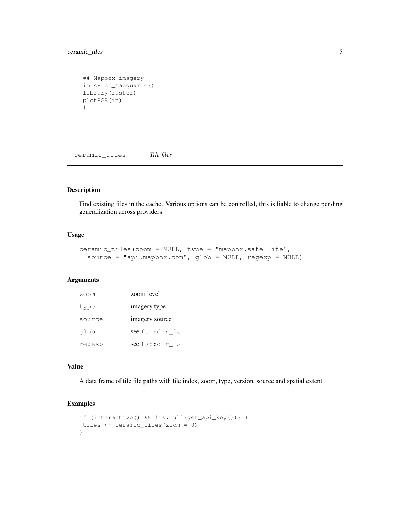## ceramic\_tiles 5

```
## Mapbox imagery
im <- cc_macquarie()
library(raster)
plotRGB(im)
}
```
ceramic\_tiles *Tile files*

## Description

Find existing files in the cache. Various options can be controlled, this is liable to change pending generalization across providers.

## Usage

```
ceramic_tiles(zoom = NULL, type = "mapbox.satellite",
  source = "api.mapbox.com", glob = NULL, regexp = NULL)
```
## Arguments

| zoom   | zoom level     |
|--------|----------------|
| type   | imagery type   |
| source | imagery source |
| glob   | see fs::dir ls |
| regexp | see fs::dir ls |

#### Value

A data frame of tile file paths with tile index, zoom, type, version, source and spatial extent.

```
if (interactive() && !is.null(get_api_key())) {
tiles <- ceramic_tiles(zoom = 0)
}
```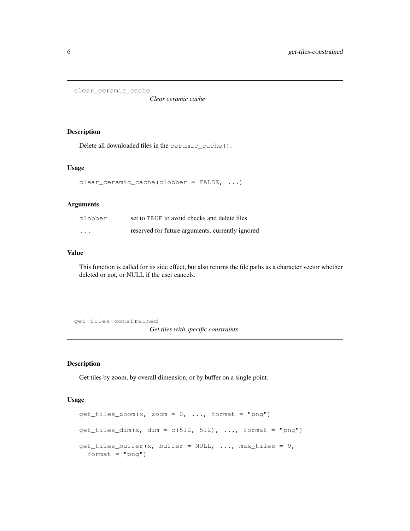```
clear_ceramic_cache
```
*Clear ceramic cache*

## Description

Delete all downloaded files in the ceramic\_cache().

#### Usage

```
clear_ceramic_cache(clobber = FALSE, ...)
```
## Arguments

| clobber                 | set to TRUE to avoid checks and delete files     |
|-------------------------|--------------------------------------------------|
| $\cdot$ $\cdot$ $\cdot$ | reserved for future arguments, currently ignored |

#### Value

This function is called for its side effect, but also returns the file paths as a character vector whether deleted or not, or NULL if the user cancels.

get-tiles-constrained *Get tiles with specific constraints*

## Description

Get tiles by zoom, by overall dimension, or by buffer on a single point.

## Usage

```
get\_tiles\_zoom(x, zoom = 0, ..., format = "png")get\_tiles\_dim(x, dim = c(512, 512), ..., format = "png")get\_tiles_buffer(x, buffer = NULL, ..., max\_tiles = 9,format = "png")
```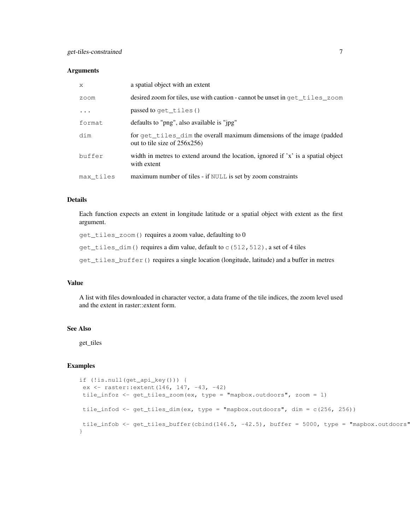#### **Arguments**

| X         | a spatial object with an extent                                                                       |
|-----------|-------------------------------------------------------------------------------------------------------|
| zoom      | desired zoom for tiles, use with caution - cannot be unset in get tiles zoom                          |
| $\cdot$   | passed to get_tiles()                                                                                 |
| format    | defaults to "png", also available is "jpg"                                                            |
| dim       | for get_tiles_dim the overall maximum dimensions of the image (padded<br>out to tile size of 256x256) |
| buffer    | width in metres to extend around the location, ignored if 'x' is a spatial object<br>with extent      |
| max tiles | maximum number of tiles - if NULL is set by zoom constraints                                          |

#### Details

Each function expects an extent in longitude latitude or a spatial object with extent as the first argument.

get\_tiles\_zoom() requires a zoom value, defaulting to 0

get\_tiles\_dim() requires a dim value, default to c(512,512), a set of 4 tiles

get\_tiles\_buffer() requires a single location (longitude, latitude) and a buffer in metres

#### Value

A list with files downloaded in character vector, a data frame of the tile indices, the zoom level used and the extent in raster::extent form.

## See Also

get\_tiles

```
if (!is.null(get_api_key())) {
ex <- raster::extent(146, 147, -43, -42)
tile_infoz <- get_tiles_zoom(ex, type = "mapbox.outdoors", zoom = 1)
tile_infod <- get_tiles_dim(ex, type = "mapbox.outdoors", dim = c(256, 256))
tile_infob <- get_tiles_buffer(cbind(146.5, -42.5), buffer = 5000, type = "mapbox.outdoors"
}
```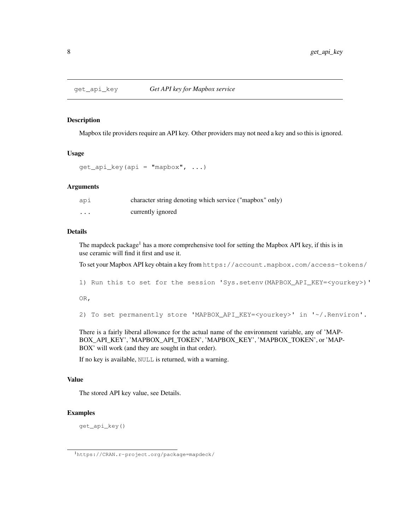#### Description

Mapbox tile providers require an API key. Other providers may not need a key and so this is ignored.

#### Usage

 $get\_api\_key$  (api = "mapbox", ...)

#### Arguments

| api     | character string denoting which service ("mapbox" only) |
|---------|---------------------------------------------------------|
| $\cdot$ | currently ignored                                       |

#### Details

The mapdeck package<sup>1</sup> has a more comprehensive tool for setting the Mapbox API key, if this is in use ceramic will find it first and use it.

To set your Mapbox API key obtain a key from https://account.mapbox.com/access-tokens/

1) Run this to set for the session 'Sys.setenv(MAPBOX\_API\_KEY=<yourkey>)'

OR,

```
2) To set permanently store 'MAPBOX_API_KEY=<yourkey>' in '~/.Renviron'.
```
There is a fairly liberal allowance for the actual name of the environment variable, any of 'MAP-BOX\_API\_KEY', 'MAPBOX\_API\_TOKEN', 'MAPBOX\_KEY', 'MAPBOX\_TOKEN', or 'MAP-BOX' will work (and they are sought in that order).

If no key is available, NULL is returned, with a warning.

## Value

The stored API key value, see Details.

## Examples

get\_api\_key()

<sup>1</sup>https://CRAN.r-project.org/package=mapdeck/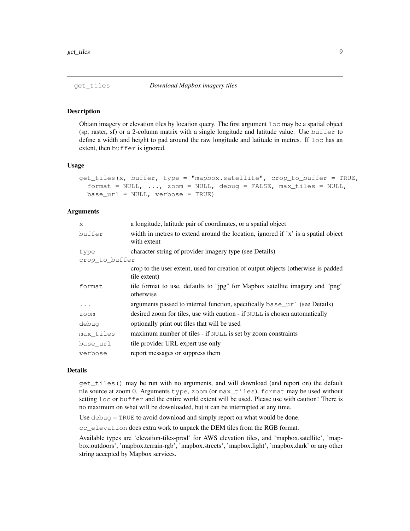#### **Description**

Obtain imagery or elevation tiles by location query. The first argument loc may be a spatial object (sp, raster, sf) or a 2-column matrix with a single longitude and latitude value. Use buffer to define a width and height to pad around the raw longitude and latitude in metres. If loc has an extent, then buffer is ignored.

#### Usage

```
get_tiles(x, buffer, type = "mapbox.satellite", crop_to_buffer = TRUE,
  format = NULL, ..., zoom = NULL, delay = FALSE, max\_tiles = NULL,base_url = NULL, verbose = TRUE)
```
#### Arguments

| X              | a longitude, latitude pair of coordinates, or a spatial object                                    |
|----------------|---------------------------------------------------------------------------------------------------|
| buffer         | width in metres to extend around the location, ignored if 'x' is a spatial object<br>with extent  |
| type           | character string of provider imagery type (see Details)                                           |
| crop_to_buffer |                                                                                                   |
|                | crop to the user extent, used for creation of output objects (otherwise is padded<br>tile extent) |
| format         | tile format to use, defaults to "jpg" for Mapbox satellite imagery and "png"<br>otherwise         |
| $\ddotsc$      | arguments passed to internal function, specifically base_url (see Details)                        |
| zoom           | desired zoom for tiles, use with caution - if NULL is chosen automatically                        |
| debug          | optionally print out files that will be used                                                      |
| max_tiles      | maximum number of tiles - if NULL is set by zoom constraints                                      |
| base url       | tile provider URL expert use only                                                                 |
| verbose        | report messages or suppress them                                                                  |

## Details

get\_tiles() may be run with no arguments, and will download (and report on) the default tile source at zoom 0. Arguments type, zoom (or max\_tiles), format may be used without setting loc or buffer and the entire world extent will be used. Please use with caution! There is no maximum on what will be downloaded, but it can be interrupted at any time.

Use debug = TRUE to avoid download and simply report on what would be done.

cc\_elevation does extra work to unpack the DEM tiles from the RGB format.

Available types are 'elevation-tiles-prod' for AWS elevation tiles, and 'mapbox.satellite', 'mapbox.outdoors', 'mapbox.terrain-rgb', 'mapbox.streets', 'mapbox.light', 'mapbox.dark' or any other string accepted by Mapbox services.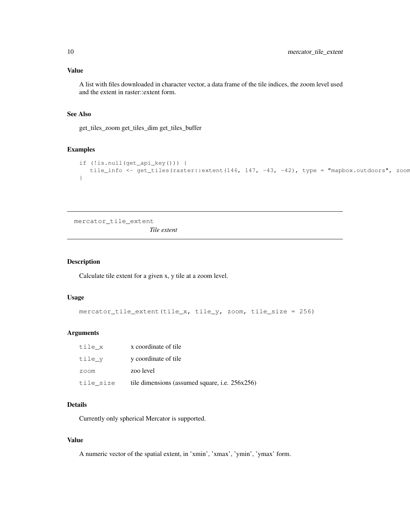## Value

A list with files downloaded in character vector, a data frame of the tile indices, the zoom level used and the extent in raster::extent form.

## See Also

get\_tiles\_zoom get\_tiles\_dim get\_tiles\_buffer

#### Examples

```
if (!is.null(get_api_key())) {
  tile_info <- qet_tiles(raster::extent(146, 147, -43, -42), type = "mapbox.outdoors", zoom
}
```
mercator\_tile\_extent *Tile extent*

## Description

Calculate tile extent for a given x, y tile at a zoom level.

#### Usage

```
mercator_tile_extent(tile_x, tile_y, zoom, tile_size = 256)
```
## Arguments

| tile x    | x coordinate of tile                           |
|-----------|------------------------------------------------|
| tile y    | y coordinate of tile                           |
| zoom      | zoo level                                      |
| tile size | tile dimensions (assumed square, i.e. 256x256) |

## Details

Currently only spherical Mercator is supported.

## Value

A numeric vector of the spatial extent, in 'xmin', 'xmax', 'ymin', 'ymax' form.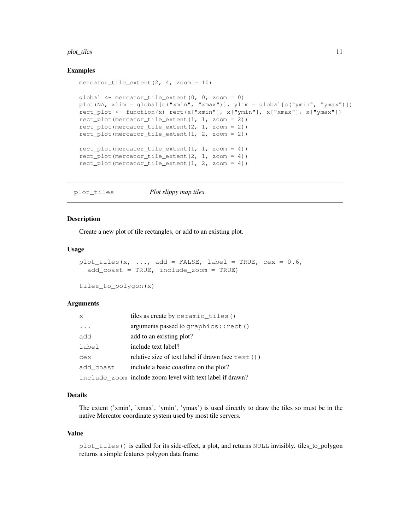#### plot\_tiles 11

#### Examples

```
mercator_tile_extent(2, 4, zoom = 10)
qlobal \leq mercator_tile_extent(0, 0, zoom = 0)
plot(NA, xlim = global[c("xmin", "xmax")], ylim = global[c("ymin", "ymax")])
rect_plot <- function(x) rect(x["xmin"], x["ymin"], x["xmax"], x["ymax"])
rect_plot(mercator_tile_extent(1, 1, zoom = 2))
rect_plot(mercator_tile_extent(2, 1, zoom = 2))
rect_plot(mercator_tile_extent(1, 2, zoom = 2))
rect_plot(mercator_tile_extent(1, 1, zoom = 4))
rect_plot(mercator_tile_extent(2, 1, zoom = 4))
rect_plot(mercator_tile_extent(1, 2, zoom = 4))
```
plot\_tiles *Plot slippy map tiles*

#### **Description**

Create a new plot of tile rectangles, or add to an existing plot.

#### Usage

```
plot_tiles(x, ..., add = FALSE, label = TRUE, cex = 0.6,
  add_coast = TRUE, include_zoom = TRUE)
```
tiles\_to\_polygon(x)

#### Arguments

| $\mathsf{x}$ | tiles as create by ceramic_tiles()                          |
|--------------|-------------------------------------------------------------|
| $\ddots$     | arguments passed to $graphics::rect()$                      |
| add          | add to an existing plot?                                    |
| label        | include text label?                                         |
| cex          | relative size of text label if drawn (see $text{text}(i)$ ) |
| add coast    | include a basic coastline on the plot?                      |
|              | include zoom include zoom level with text label if drawn?   |

#### Details

The extent ('xmin', 'xmax', 'ymin', 'ymax') is used directly to draw the tiles so must be in the native Mercator coordinate system used by most tile servers.

#### Value

plot\_tiles() is called for its side-effect, a plot, and returns NULL invisibly. tiles\_to\_polygon returns a simple features polygon data frame.